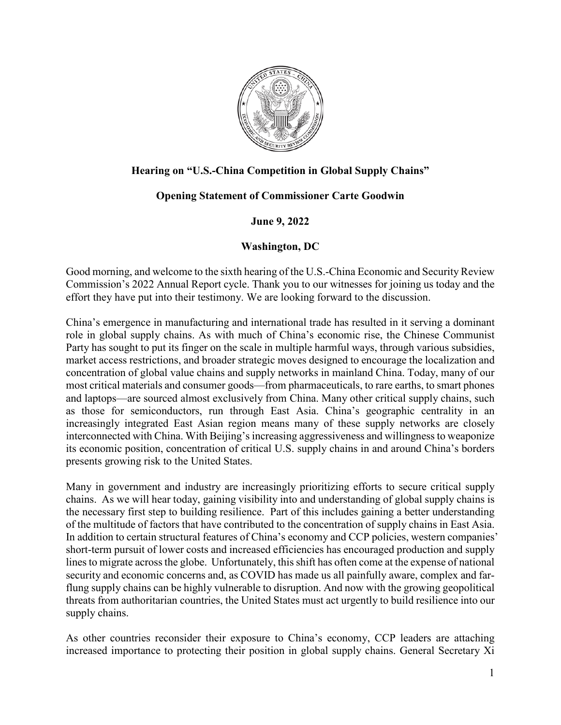

## **Hearing on "U.S.-China Competition in Global Supply Chains"**

## **Opening Statement of Commissioner Carte Goodwin**

## **June 9, 2022**

## **Washington, DC**

Good morning, and welcome to the sixth hearing of the U.S.-China Economic and Security Review Commission's 2022 Annual Report cycle. Thank you to our witnesses for joining us today and the effort they have put into their testimony. We are looking forward to the discussion.

China's emergence in manufacturing and international trade has resulted in it serving a dominant role in global supply chains. As with much of China's economic rise, the Chinese Communist Party has sought to put its finger on the scale in multiple harmful ways, through various subsidies, market access restrictions, and broader strategic moves designed to encourage the localization and concentration of global value chains and supply networks in mainland China. Today, many of our most critical materials and consumer goods—from pharmaceuticals, to rare earths, to smart phones and laptops—are sourced almost exclusively from China. Many other critical supply chains, such as those for semiconductors, run through East Asia. China's geographic centrality in an increasingly integrated East Asian region means many of these supply networks are closely interconnected with China. With Beijing's increasing aggressiveness and willingness to weaponize its economic position, concentration of critical U.S. supply chains in and around China's borders presents growing risk to the United States.

Many in government and industry are increasingly prioritizing efforts to secure critical supply chains. As we will hear today, gaining visibility into and understanding of global supply chains is the necessary first step to building resilience. Part of this includes gaining a better understanding of the multitude of factors that have contributed to the concentration of supply chains in East Asia. In addition to certain structural features of China's economy and CCP policies, western companies' short-term pursuit of lower costs and increased efficiencies has encouraged production and supply lines to migrate across the globe. Unfortunately, this shift has often come at the expense of national security and economic concerns and, as COVID has made us all painfully aware, complex and farflung supply chains can be highly vulnerable to disruption. And now with the growing geopolitical threats from authoritarian countries, the United States must act urgently to build resilience into our supply chains.

As other countries reconsider their exposure to China's economy, CCP leaders are attaching increased importance to protecting their position in global supply chains. General Secretary Xi